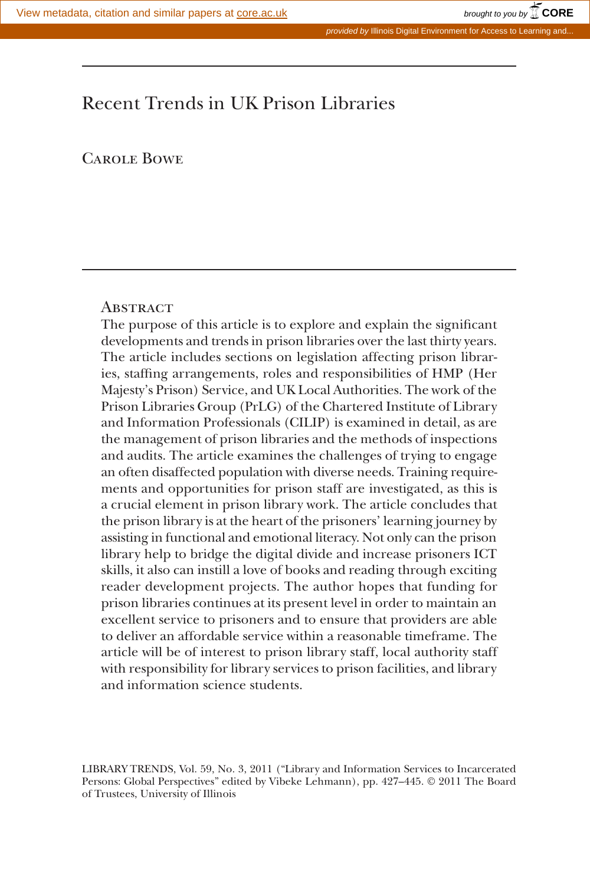# Recent Trends in UK Prison Libraries

# Carole Bowe

# **ABSTRACT**

The purpose of this article is to explore and explain the significant developments and trends in prison libraries over the last thirty years. The article includes sections on legislation affecting prison libraries, staffing arrangements, roles and responsibilities of HMP (Her Majesty's Prison) Service, and UK Local Authorities. The work of the Prison Libraries Group (PrLG) of the Chartered Institute of Library and Information Professionals (CILIP) is examined in detail, as are the management of prison libraries and the methods of inspections and audits. The article examines the challenges of trying to engage an often disaffected population with diverse needs. Training requirements and opportunities for prison staff are investigated, as this is a crucial element in prison library work. The article concludes that the prison library is at the heart of the prisoners' learning journey by assisting in functional and emotional literacy. Not only can the prison library help to bridge the digital divide and increase prisoners ICT skills, it also can instill a love of books and reading through exciting reader development projects. The author hopes that funding for prison libraries continues at its present level in order to maintain an excellent service to prisoners and to ensure that providers are able to deliver an affordable service within a reasonable timeframe. The article will be of interest to prison library staff, local authority staff with responsibility for library services to prison facilities, and library and information science students.

LIBRARY TRENDS, Vol. 59, No. 3, 2011 ("Library and Information Services to Incarcerated Persons: Global Perspectives" edited by Vibeke Lehmann), pp. 427–445. © 2011 The Board of Trustees, University of Illinois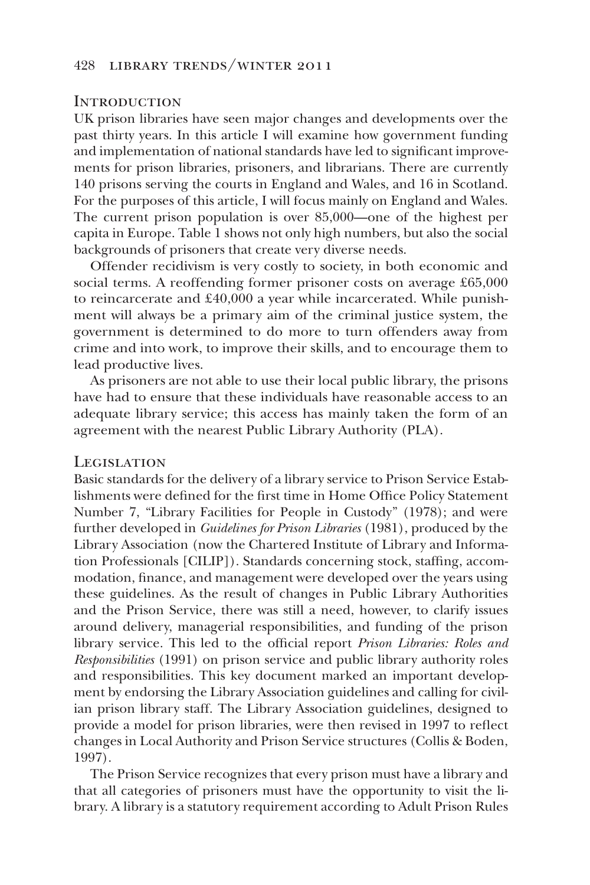#### **INTRODUCTION**

UK prison libraries have seen major changes and developments over the past thirty years. In this article I will examine how government funding and implementation of national standards have led to significant improvements for prison libraries, prisoners, and librarians. There are currently 140 prisons serving the courts in England and Wales, and 16 in Scotland. For the purposes of this article, I will focus mainly on England and Wales. The current prison population is over 85,000—one of the highest per capita in Europe. Table 1 shows not only high numbers, but also the social backgrounds of prisoners that create very diverse needs.

Offender recidivism is very costly to society, in both economic and social terms. A reoffending former prisoner costs on average £65,000 to reincarcerate and £40,000 a year while incarcerated. While punishment will always be a primary aim of the criminal justice system, the government is determined to do more to turn offenders away from crime and into work, to improve their skills, and to encourage them to lead productive lives.

As prisoners are not able to use their local public library, the prisons have had to ensure that these individuals have reasonable access to an adequate library service; this access has mainly taken the form of an agreement with the nearest Public Library Authority (PLA).

#### Legislation

Basic standards for the delivery of a library service to Prison Service Establishments were defined for the first time in Home Office Policy Statement Number 7, "Library Facilities for People in Custody" (1978); and were further developed in *Guidelines for Prison Libraries* (1981), produced by the Library Association (now the Chartered Institute of Library and Information Professionals [CILIP]). Standards concerning stock, staffing, accommodation, finance, and management were developed over the years using these guidelines. As the result of changes in Public Library Authorities and the Prison Service, there was still a need, however, to clarify issues around delivery, managerial responsibilities, and funding of the prison library service. This led to the official report *Prison Libraries: Roles and Responsibilities* (1991) on prison service and public library authority roles and responsibilities. This key document marked an important development by endorsing the Library Association guidelines and calling for civilian prison library staff. The Library Association guidelines, designed to provide a model for prison libraries, were then revised in 1997 to reflect changes in Local Authority and Prison Service structures (Collis & Boden, 1997).

The Prison Service recognizes that every prison must have a library and that all categories of prisoners must have the opportunity to visit the library. A library is a statutory requirement according to Adult Prison Rules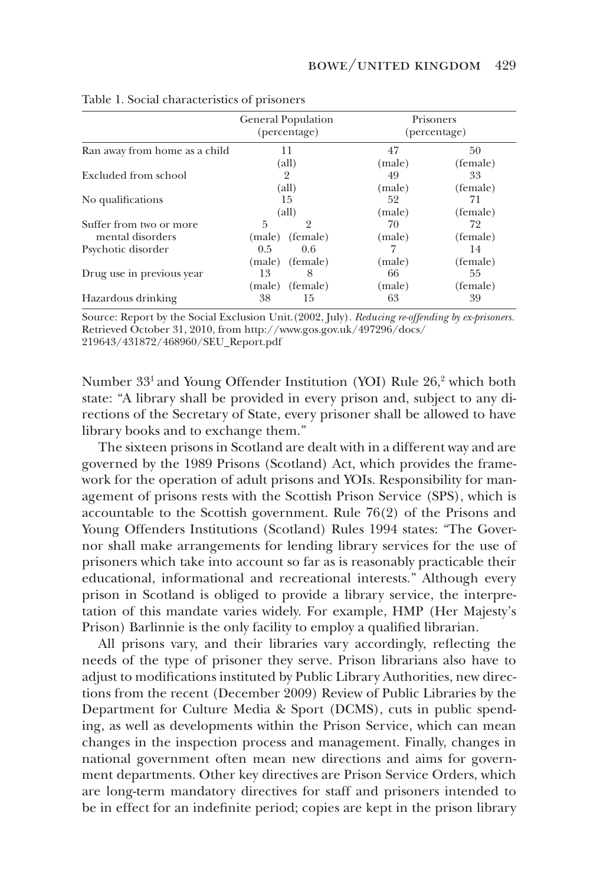|                               |               | General Population<br>(percentage) | Prisoners<br>(percentage) |          |
|-------------------------------|---------------|------------------------------------|---------------------------|----------|
| Ran away from home as a child |               | 11                                 | 47                        | 50       |
|                               |               | $\text{(all)}$                     | (male)                    | (female) |
| Excluded from school          |               | 2                                  | 49                        | 33       |
|                               |               | $\text{(all)}$                     | (male)                    | (female) |
| No qualifications             |               | 15                                 | 52                        | 71       |
|                               |               | $\text{(all)}$                     | (male)                    | (female) |
| Suffer from two or more       | 5             | 9                                  | 70                        | 72       |
| mental disorders              |               | (male) (female)                    | (male)                    | (female) |
| Psychotic disorder            | $0.5^{\circ}$ | 0.6                                | 7                         | 14       |
|                               |               | (male) (female)                    | (male)                    | (female) |
| Drug use in previous year     | 13            | 8                                  | 66                        | 55       |
|                               |               | (male) (female)                    | (male)                    | (female) |
| Hazardous drinking            | 38            | 15                                 | 63                        | 39       |

#### Table 1. Social characteristics of prisoners

Source: Report by the Social Exclusion Unit.(2002, July). *Reducing re-offending by ex-prisoners.*  Retrieved October 31, 2010, from http://www.gos.gov.uk/497296/docs/ 219643/431872/468960/SEU\_Report.pdf

Number 33<sup>1</sup> and Young Offender Institution (YOI) Rule 26,<sup>2</sup> which both state: "A library shall be provided in every prison and, subject to any directions of the Secretary of State, every prisoner shall be allowed to have library books and to exchange them."

The sixteen prisons in Scotland are dealt with in a different way and are governed by the 1989 Prisons (Scotland) Act, which provides the framework for the operation of adult prisons and YOIs. Responsibility for management of prisons rests with the Scottish Prison Service (SPS), which is accountable to the Scottish government. Rule 76(2) of the Prisons and Young Offenders Institutions (Scotland) Rules 1994 states: "The Governor shall make arrangements for lending library services for the use of prisoners which take into account so far as is reasonably practicable their educational, informational and recreational interests." Although every prison in Scotland is obliged to provide a library service, the interpretation of this mandate varies widely. For example, HMP (Her Majesty's Prison) Barlinnie is the only facility to employ a qualified librarian.

All prisons vary, and their libraries vary accordingly, reflecting the needs of the type of prisoner they serve. Prison librarians also have to adjust to modifications instituted by Public Library Authorities, new directions from the recent (December 2009) Review of Public Libraries by the Department for Culture Media & Sport (DCMS), cuts in public spending, as well as developments within the Prison Service, which can mean changes in the inspection process and management. Finally, changes in national government often mean new directions and aims for government departments. Other key directives are Prison Service Orders, which are long-term mandatory directives for staff and prisoners intended to be in effect for an indefinite period; copies are kept in the prison library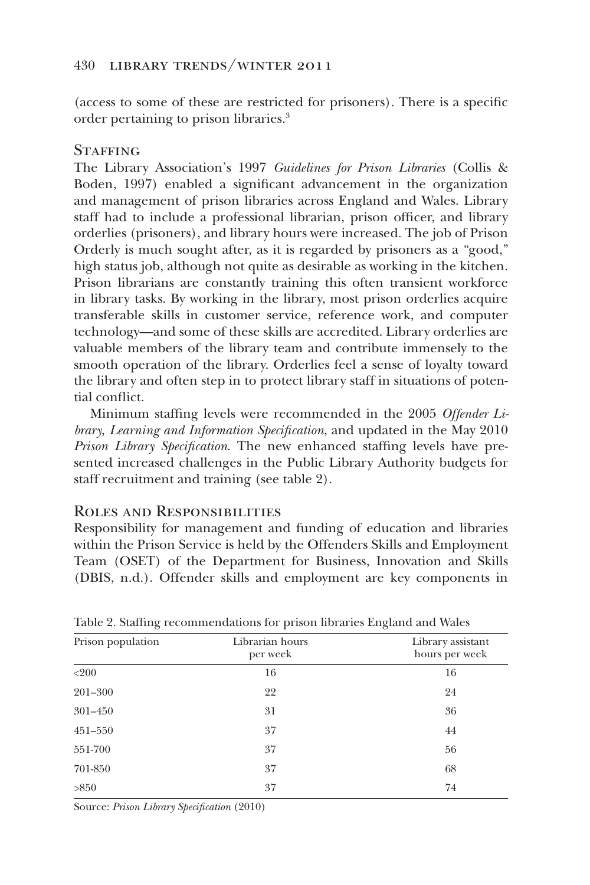(access to some of these are restricted for prisoners). There is a specific order pertaining to prison libraries.3

# **STAFFING**

The Library Association's 1997 *Guidelines for Prison Libraries* (Collis & Boden, 1997) enabled a significant advancement in the organization and management of prison libraries across England and Wales. Library staff had to include a professional librarian, prison officer, and library orderlies (prisoners), and library hours were increased. The job of Prison Orderly is much sought after, as it is regarded by prisoners as a "good," high status job, although not quite as desirable as working in the kitchen. Prison librarians are constantly training this often transient workforce in library tasks. By working in the library, most prison orderlies acquire transferable skills in customer service, reference work, and computer technology—and some of these skills are accredited. Library orderlies are valuable members of the library team and contribute immensely to the smooth operation of the library. Orderlies feel a sense of loyalty toward the library and often step in to protect library staff in situations of potential conflict.

Minimum staffing levels were recommended in the 2005 *Offender Library, Learning and Information Specification*, and updated in the May 2010 *Prison Library Specification*. The new enhanced staffing levels have presented increased challenges in the Public Library Authority budgets for staff recruitment and training (see table 2).

# Roles and Responsibilities

Responsibility for management and funding of education and libraries within the Prison Service is held by the Offenders Skills and Employment Team (OSET) of the Department for Business, Innovation and Skills (DBIS, n.d.). Offender skills and employment are key components in

| Prison population | Librarian hours<br>per week | Library assistant<br>hours per week |
|-------------------|-----------------------------|-------------------------------------|
| $<$ 200           | 16                          | 16                                  |
| 201-300           | 22                          | 24                                  |
| 301-450           | 31                          | 36                                  |
| $451 - 550$       | 37                          | 44                                  |
| 551-700           | 37                          | 56                                  |
| 701-850           | 37                          | 68                                  |
| >850              | 37                          | 74                                  |

Table 2. Staffing recommendations for prison libraries England and Wales

Source: *Prison Library Specification* (2010)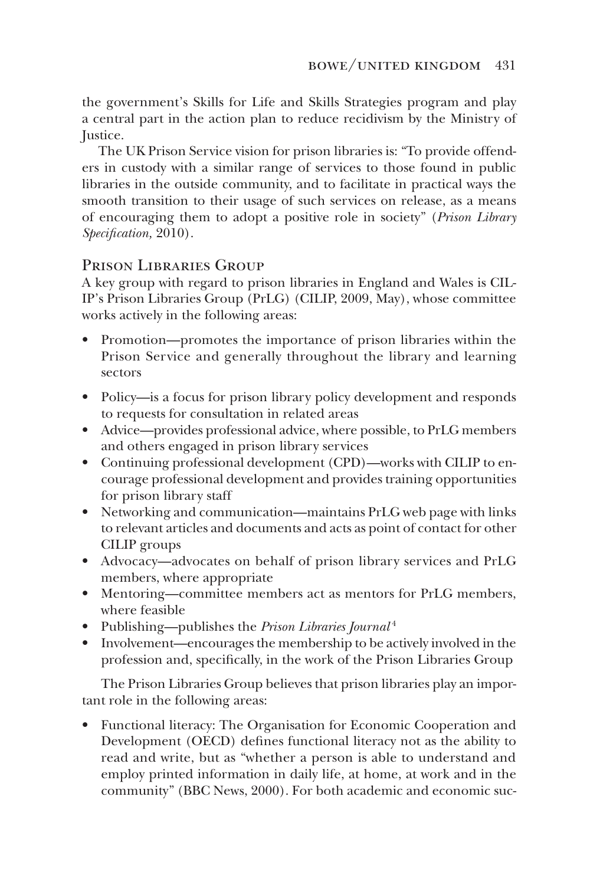the government's Skills for Life and Skills Strategies program and play a central part in the action plan to reduce recidivism by the Ministry of Justice.

The UK Prison Service vision for prison libraries is: "To provide offenders in custody with a similar range of services to those found in public libraries in the outside community, and to facilitate in practical ways the smooth transition to their usage of such services on release, as a means of encouraging them to adopt a positive role in society" (*Prison Library Specification,* 2010).

# Prison Libraries Group

A key group with regard to prison libraries in England and Wales is CIL-IP's Prison Libraries Group (PrLG) (CILIP, 2009, May), whose committee works actively in the following areas:

- Promotion—promotes the importance of prison libraries within the Prison Service and generally throughout the library and learning sectors
- Policy—is a focus for prison library policy development and responds to requests for consultation in related areas
- • Advice—provides professional advice, where possible, to PrLG members and others engaged in prison library services
- Continuing professional development (CPD)—works with CILIP to encourage professional development and provides training opportunities for prison library staff
- • Networking and communication—maintains PrLG web page with links to relevant articles and documents and acts as point of contact for other CILIP groups
- • Advocacy—advocates on behalf of prison library services and PrLG members, where appropriate
- • Mentoring—committee members act as mentors for PrLG members, where feasible
- • Publishing—publishes the *Prison Libraries Journal* <sup>4</sup>
- Involvement—encourages the membership to be actively involved in the profession and, specifically, in the work of the Prison Libraries Group

The Prison Libraries Group believes that prison libraries play an important role in the following areas:

• Functional literacy: The Organisation for Economic Cooperation and Development (OECD) defines functional literacy not as the ability to read and write, but as "whether a person is able to understand and employ printed information in daily life, at home, at work and in the community" (BBC News, 2000). For both academic and economic suc-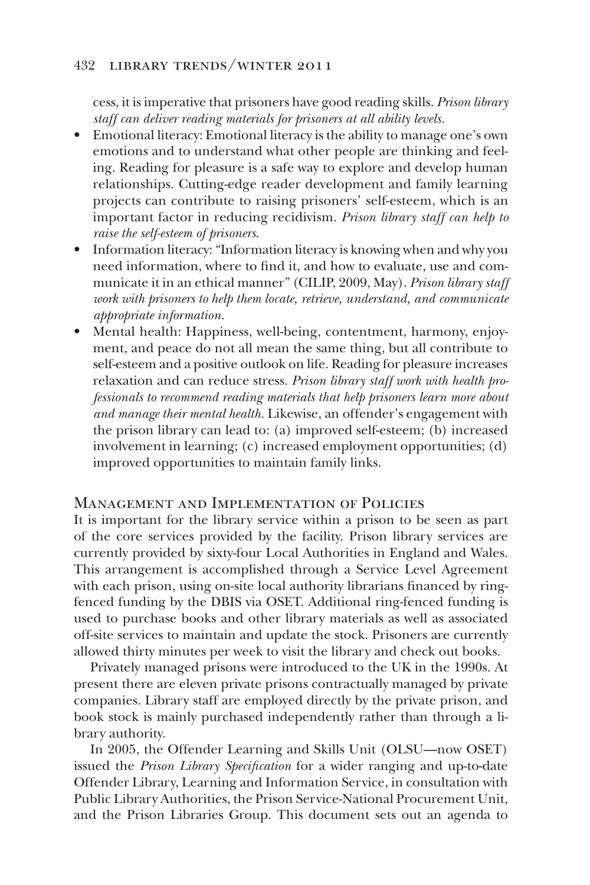cess, it is imperative that prisoners have good reading skills. *Prison library staff can deliver reading materials for prisoners at all ability levels.*

- • Emotional literacy: Emotional literacy is the ability to manage one's own emotions and to understand what other people are thinking and feeling. Reading for pleasure is a safe way to explore and develop human relationships. Cutting-edge reader development and family learning projects can contribute to raising prisoners' self-esteem, which is an important factor in reducing recidivism. *Prison library staff can help to raise the self-esteem of prisoners*.
- Information literacy: "Information literacy is knowing when and why you need information, where to find it, and how to evaluate, use and communicate it in an ethical manner" (CILIP, 2009, May). *Prison library staff work with prisoners to help them locate, retrieve, understand, and communicate appropriate information.*
- Mental health: Happiness, well-being, contentment, harmony, enjoyment, and peace do not all mean the same thing, but all contribute to self-esteem and a positive outlook on life. Reading for pleasure increases relaxation and can reduce stress. *Prison library staff work with health professionals to recommend reading materials that help prisoners learn more about and manage their mental health.* Likewise, an offender's engagement with the prison library can lead to: (a) improved self-esteem; (b) increased involvement in learning; (c) increased employment opportunities; (d) improved opportunities to maintain family links.

# Management and Implementation of Policies

It is important for the library service within a prison to be seen as part of the core services provided by the facility. Prison library services are currently provided by sixty-four Local Authorities in England and Wales. This arrangement is accomplished through a Service Level Agreement with each prison, using on-site local authority librarians financed by ringfenced funding by the DBIS via OSET. Additional ring-fenced funding is used to purchase books and other library materials as well as associated off-site services to maintain and update the stock. Prisoners are currently allowed thirty minutes per week to visit the library and check out books.

Privately managed prisons were introduced to the UK in the 1990s. At present there are eleven private prisons contractually managed by private companies. Library staff are employed directly by the private prison, and book stock is mainly purchased independently rather than through a library authority.

In 2005, the Offender Learning and Skills Unit (OLSU—now OSET) issued the *Prison Library Specification* for a wider ranging and up-to-date Offender Library, Learning and Information Service, in consultation with Public Library Authorities, the Prison Service-National Procurement Unit, and the Prison Libraries Group. This document sets out an agenda to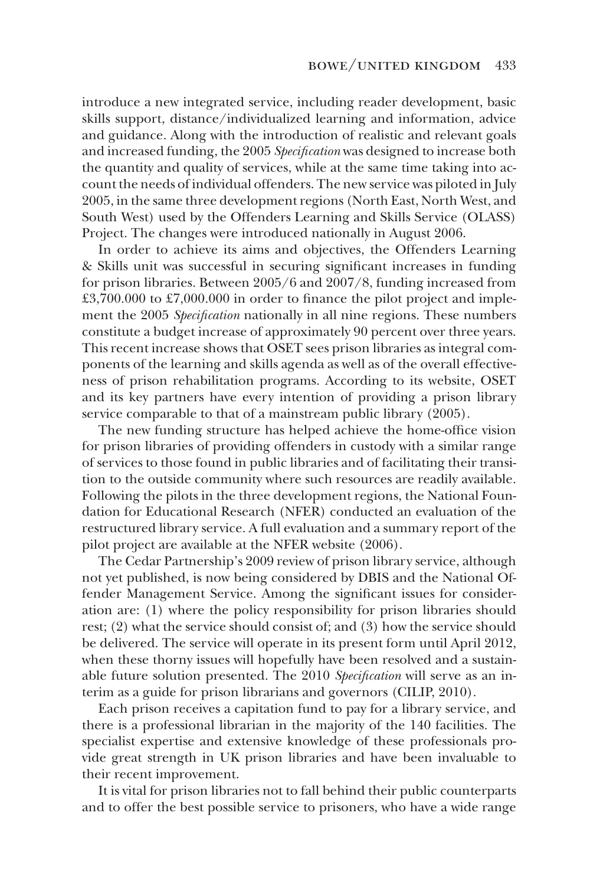introduce a new integrated service, including reader development, basic skills support, distance/individualized learning and information, advice and guidance. Along with the introduction of realistic and relevant goals and increased funding, the 2005 *Specification* was designed to increase both the quantity and quality of services, while at the same time taking into account the needs of individual offenders. The new service was piloted in July 2005, in the same three development regions (North East, North West, and South West) used by the Offenders Learning and Skills Service (OLASS) Project. The changes were introduced nationally in August 2006.

In order to achieve its aims and objectives, the Offenders Learning & Skills unit was successful in securing significant increases in funding for prison libraries. Between 2005/6 and 2007/8, funding increased from £3,700.000 to £7,000.000 in order to finance the pilot project and implement the 2005 *Specification* nationally in all nine regions. These numbers constitute a budget increase of approximately 90 percent over three years. This recent increase shows that OSET sees prison libraries as integral components of the learning and skills agenda as well as of the overall effectiveness of prison rehabilitation programs. According to its website, OSET and its key partners have every intention of providing a prison library service comparable to that of a mainstream public library (2005).

The new funding structure has helped achieve the home-office vision for prison libraries of providing offenders in custody with a similar range of services to those found in public libraries and of facilitating their transition to the outside community where such resources are readily available. Following the pilots in the three development regions, the National Foundation for Educational Research (NFER) conducted an evaluation of the restructured library service. A full evaluation and a summary report of the pilot project are available at the NFER website (2006).

The Cedar Partnership's 2009 review of prison library service, although not yet published, is now being considered by DBIS and the National Offender Management Service. Among the significant issues for consideration are: (1) where the policy responsibility for prison libraries should rest; (2) what the service should consist of; and (3) how the service should be delivered. The service will operate in its present form until April 2012, when these thorny issues will hopefully have been resolved and a sustainable future solution presented. The 2010 *Specification* will serve as an interim as a guide for prison librarians and governors (CILIP, 2010).

Each prison receives a capitation fund to pay for a library service, and there is a professional librarian in the majority of the 140 facilities. The specialist expertise and extensive knowledge of these professionals provide great strength in UK prison libraries and have been invaluable to their recent improvement.

It is vital for prison libraries not to fall behind their public counterparts and to offer the best possible service to prisoners, who have a wide range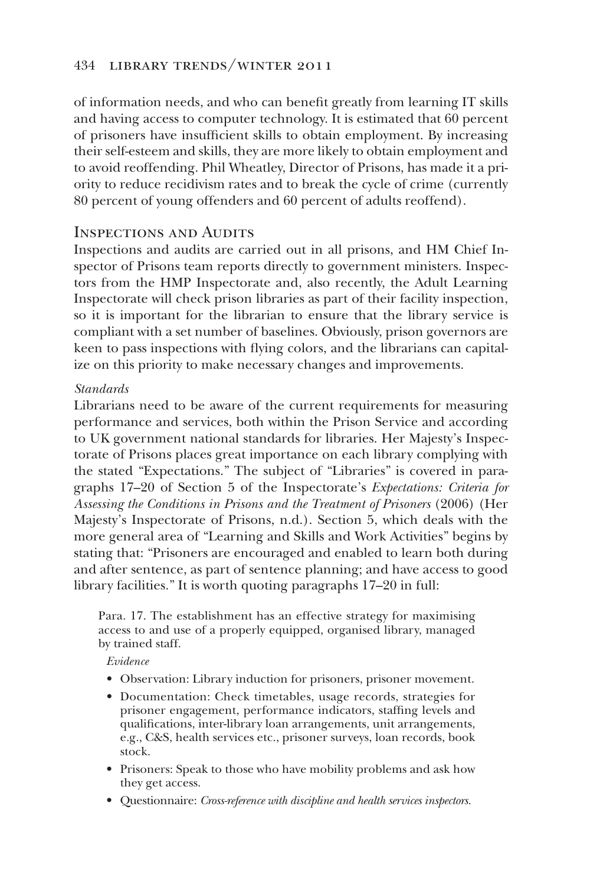of information needs, and who can benefit greatly from learning IT skills and having access to computer technology. It is estimated that 60 percent of prisoners have insufficient skills to obtain employment. By increasing their self-esteem and skills, they are more likely to obtain employment and to avoid reoffending. Phil Wheatley, Director of Prisons, has made it a priority to reduce recidivism rates and to break the cycle of crime (currently 80 percent of young offenders and 60 percent of adults reoffend).

# Inspections and Audits

Inspections and audits are carried out in all prisons, and HM Chief Inspector of Prisons team reports directly to government ministers. Inspectors from the HMP Inspectorate and, also recently, the Adult Learning Inspectorate will check prison libraries as part of their facility inspection, so it is important for the librarian to ensure that the library service is compliant with a set number of baselines. Obviously, prison governors are keen to pass inspections with flying colors, and the librarians can capitalize on this priority to make necessary changes and improvements.

### *Standards*

Librarians need to be aware of the current requirements for measuring performance and services, both within the Prison Service and according to UK government national standards for libraries. Her Majesty's Inspectorate of Prisons places great importance on each library complying with the stated "Expectations." The subject of "Libraries" is covered in paragraphs 17–20 of Section 5 of the Inspectorate's *Expectations: Criteria for Assessing the Conditions in Prisons and the Treatment of Prisoners* (2006) (Her Majesty's Inspectorate of Prisons, n.d.). Section 5, which deals with the more general area of "Learning and Skills and Work Activities" begins by stating that: "Prisoners are encouraged and enabled to learn both during and after sentence, as part of sentence planning; and have access to good library facilities." It is worth quoting paragraphs 17–20 in full:

Para. 17. The establishment has an effective strategy for maximising access to and use of a properly equipped, organised library, managed by trained staff.

### *Evidence*

- Observation: Library induction for prisoners, prisoner movement.
- Documentation: Check timetables, usage records, strategies for prisoner engagement, performance indicators, staffing levels and qualifications, inter-library loan arrangements, unit arrangements, e.g., C&S, health services etc., prisoner surveys, loan records, book stock.
- Prisoners: Speak to those who have mobility problems and ask how they get access.
- Ouestionnaire: *Cross-reference with discipline and health services inspectors*.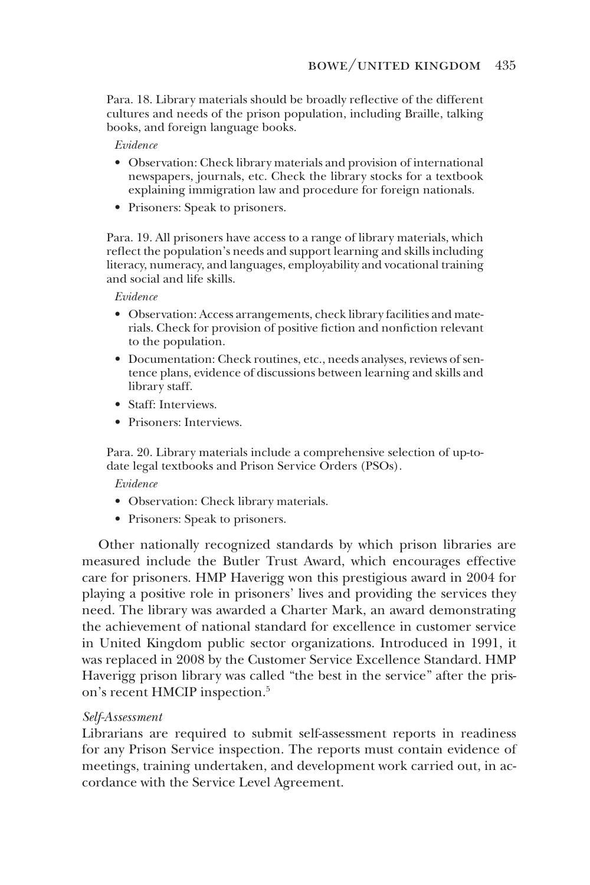Para. 18. Library materials should be broadly reflective of the different cultures and needs of the prison population, including Braille, talking books, and foreign language books.

#### *Evidence*

- Observation: Check library materials and provision of international newspapers, journals, etc. Check the library stocks for a textbook explaining immigration law and procedure for foreign nationals.
- Prisoners: Speak to prisoners.

Para. 19. All prisoners have access to a range of library materials, which reflect the population's needs and support learning and skills including literacy, numeracy, and languages, employability and vocational training and social and life skills.

*Evidence*

- Observation: Access arrangements, check library facilities and materials. Check for provision of positive fiction and nonfiction relevant to the population.
- Documentation: Check routines, etc., needs analyses, reviews of sentence plans, evidence of discussions between learning and skills and library staff.
- Staff: Interviews.
- Prisoners: Interviews.

Para. 20. Library materials include a comprehensive selection of up-todate legal textbooks and Prison Service Orders (PSOs).

#### *Evidence*

- Observation: Check library materials.
- Prisoners: Speak to prisoners.

Other nationally recognized standards by which prison libraries are measured include the Butler Trust Award, which encourages effective care for prisoners. HMP Haverigg won this prestigious award in 2004 for playing a positive role in prisoners' lives and providing the services they need. The library was awarded a Charter Mark, an award demonstrating the achievement of national standard for excellence in customer service in United Kingdom public sector organizations. Introduced in 1991, it was replaced in 2008 by the Customer Service Excellence Standard. HMP Haverigg prison library was called "the best in the service" after the prison's recent HMCIP inspection.<sup>5</sup>

### *Self-Assessment*

Librarians are required to submit self-assessment reports in readiness for any Prison Service inspection. The reports must contain evidence of meetings, training undertaken, and development work carried out, in accordance with the Service Level Agreement.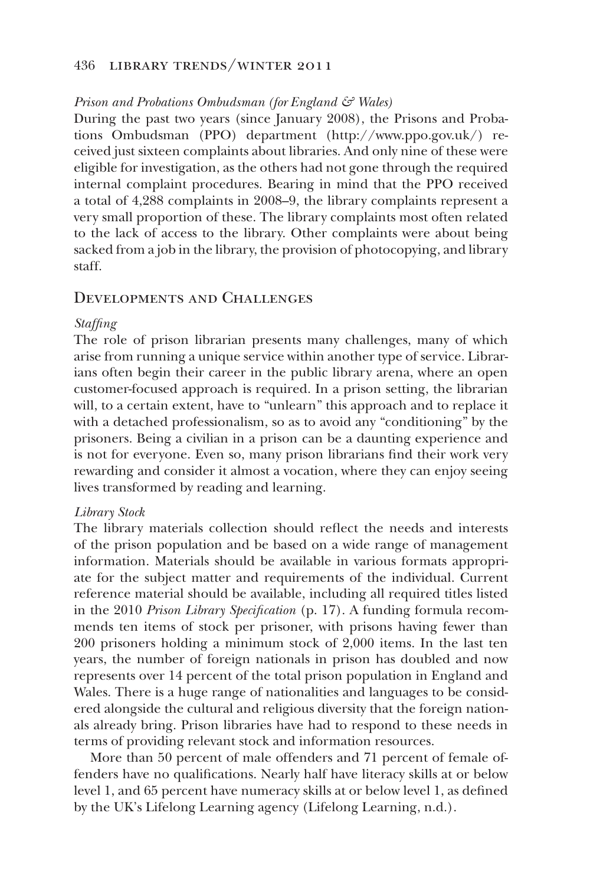#### *Prison and Probations Ombudsman (for England & Wales)*

During the past two years (since January 2008), the Prisons and Probations Ombudsman (PPO) department (http://www.ppo.gov.uk/) received just sixteen complaints about libraries. And only nine of these were eligible for investigation, as the others had not gone through the required internal complaint procedures. Bearing in mind that the PPO received a total of 4,288 complaints in 2008–9, the library complaints represent a very small proportion of these. The library complaints most often related to the lack of access to the library. Other complaints were about being sacked from a job in the library, the provision of photocopying, and library staff.

### Developments and Challenges

#### *Staffing*

The role of prison librarian presents many challenges, many of which arise from running a unique service within another type of service. Librarians often begin their career in the public library arena, where an open customer-focused approach is required. In a prison setting, the librarian will, to a certain extent, have to "unlearn" this approach and to replace it with a detached professionalism, so as to avoid any "conditioning" by the prisoners. Being a civilian in a prison can be a daunting experience and is not for everyone. Even so, many prison librarians find their work very rewarding and consider it almost a vocation, where they can enjoy seeing lives transformed by reading and learning.

### *Library Stock*

The library materials collection should reflect the needs and interests of the prison population and be based on a wide range of management information. Materials should be available in various formats appropriate for the subject matter and requirements of the individual. Current reference material should be available, including all required titles listed in the 2010 *Prison Library Specification* (p. 17). A funding formula recommends ten items of stock per prisoner, with prisons having fewer than 200 prisoners holding a minimum stock of 2,000 items. In the last ten years, the number of foreign nationals in prison has doubled and now represents over 14 percent of the total prison population in England and Wales. There is a huge range of nationalities and languages to be considered alongside the cultural and religious diversity that the foreign nationals already bring. Prison libraries have had to respond to these needs in terms of providing relevant stock and information resources.

More than 50 percent of male offenders and 71 percent of female offenders have no qualifications. Nearly half have literacy skills at or below level 1, and 65 percent have numeracy skills at or below level 1, as defined by the UK's Lifelong Learning agency (Lifelong Learning, n.d.).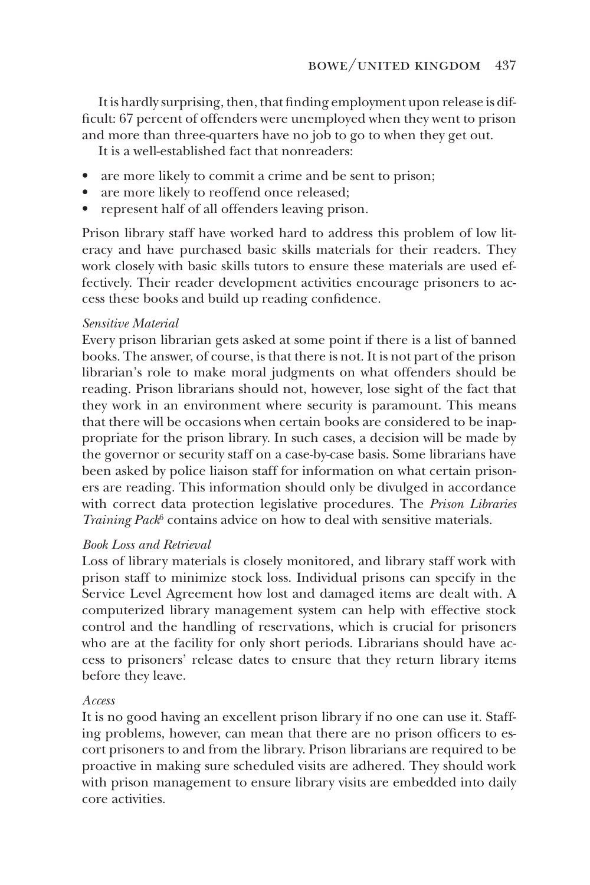It is hardly surprising, then, that finding employment upon release is difficult: 67 percent of offenders were unemployed when they went to prison and more than three-quarters have no job to go to when they get out.

It is a well-established fact that nonreaders:

- are more likely to commit a crime and be sent to prison;
- are more likely to reoffend once released;
- represent half of all offenders leaving prison.

Prison library staff have worked hard to address this problem of low literacy and have purchased basic skills materials for their readers. They work closely with basic skills tutors to ensure these materials are used effectively. Their reader development activities encourage prisoners to access these books and build up reading confidence.

### *Sensitive Material*

Every prison librarian gets asked at some point if there is a list of banned books. The answer, of course, is that there is not. It is not part of the prison librarian's role to make moral judgments on what offenders should be reading. Prison librarians should not, however, lose sight of the fact that they work in an environment where security is paramount. This means that there will be occasions when certain books are considered to be inappropriate for the prison library. In such cases, a decision will be made by the governor or security staff on a case-by-case basis. Some librarians have been asked by police liaison staff for information on what certain prisoners are reading. This information should only be divulged in accordance with correct data protection legislative procedures. The *Prison Libraries Training Pack*<sup>6</sup> contains advice on how to deal with sensitive materials.

### *Book Loss and Retrieval*

Loss of library materials is closely monitored, and library staff work with prison staff to minimize stock loss. Individual prisons can specify in the Service Level Agreement how lost and damaged items are dealt with. A computerized library management system can help with effective stock control and the handling of reservations, which is crucial for prisoners who are at the facility for only short periods. Librarians should have access to prisoners' release dates to ensure that they return library items before they leave.

### *Access*

It is no good having an excellent prison library if no one can use it. Staffing problems, however, can mean that there are no prison officers to escort prisoners to and from the library. Prison librarians are required to be proactive in making sure scheduled visits are adhered. They should work with prison management to ensure library visits are embedded into daily core activities.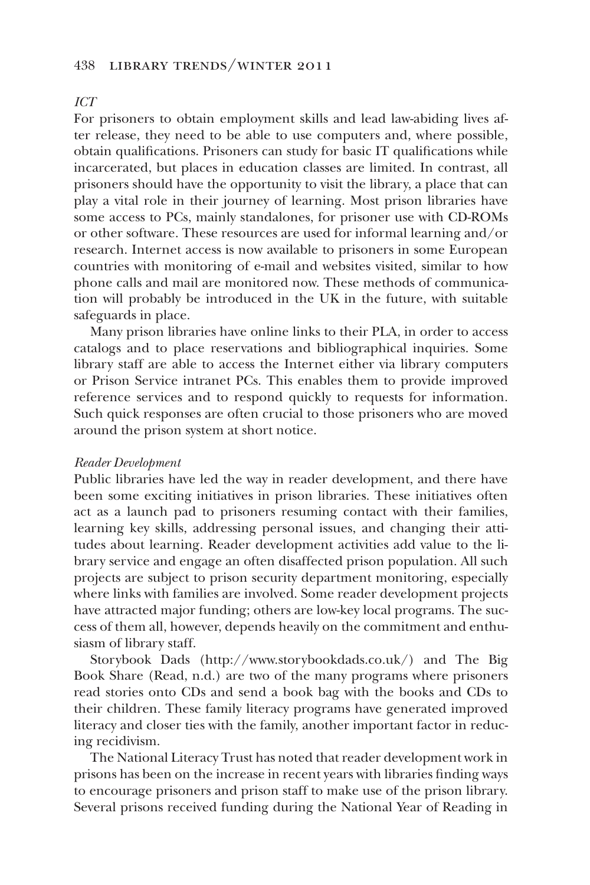#### *ICT*

For prisoners to obtain employment skills and lead law-abiding lives after release, they need to be able to use computers and, where possible, obtain qualifications. Prisoners can study for basic IT qualifications while incarcerated, but places in education classes are limited. In contrast, all prisoners should have the opportunity to visit the library, a place that can play a vital role in their journey of learning. Most prison libraries have some access to PCs, mainly standalones, for prisoner use with CD-ROMs or other software. These resources are used for informal learning and/or research. Internet access is now available to prisoners in some European countries with monitoring of e-mail and websites visited, similar to how phone calls and mail are monitored now. These methods of communication will probably be introduced in the UK in the future, with suitable safeguards in place.

Many prison libraries have online links to their PLA, in order to access catalogs and to place reservations and bibliographical inquiries. Some library staff are able to access the Internet either via library computers or Prison Service intranet PCs. This enables them to provide improved reference services and to respond quickly to requests for information. Such quick responses are often crucial to those prisoners who are moved around the prison system at short notice.

#### *Reader Development*

Public libraries have led the way in reader development, and there have been some exciting initiatives in prison libraries. These initiatives often act as a launch pad to prisoners resuming contact with their families, learning key skills, addressing personal issues, and changing their attitudes about learning. Reader development activities add value to the library service and engage an often disaffected prison population. All such projects are subject to prison security department monitoring, especially where links with families are involved. Some reader development projects have attracted major funding; others are low-key local programs. The success of them all, however, depends heavily on the commitment and enthusiasm of library staff.

Storybook Dads (http://www.storybookdads.co.uk/) and The Big Book Share (Read, n.d.) are two of the many programs where prisoners read stories onto CDs and send a book bag with the books and CDs to their children. These family literacy programs have generated improved literacy and closer ties with the family, another important factor in reducing recidivism.

The National Literacy Trust has noted that reader development work in prisons has been on the increase in recent years with libraries finding ways to encourage prisoners and prison staff to make use of the prison library. Several prisons received funding during the National Year of Reading in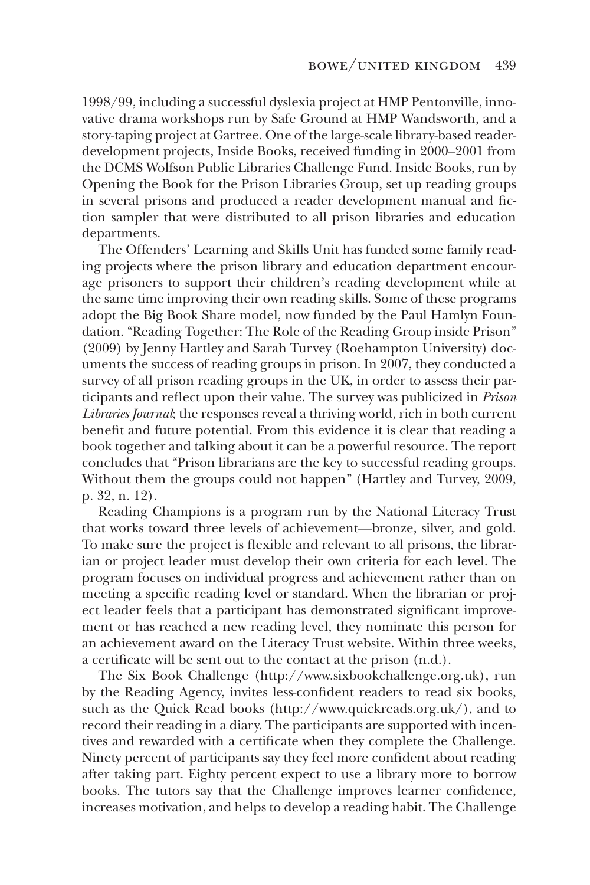1998/99, including a successful dyslexia project at HMP Pentonville, innovative drama workshops run by Safe Ground at HMP Wandsworth, and a story-taping project at Gartree. One of the large-scale library-based readerdevelopment projects, Inside Books, received funding in 2000–2001 from the DCMS Wolfson Public Libraries Challenge Fund. Inside Books, run by Opening the Book for the Prison Libraries Group, set up reading groups in several prisons and produced a reader development manual and fiction sampler that were distributed to all prison libraries and education departments.

The Offenders' Learning and Skills Unit has funded some family reading projects where the prison library and education department encourage prisoners to support their children's reading development while at the same time improving their own reading skills. Some of these programs adopt the Big Book Share model, now funded by the Paul Hamlyn Foundation. "Reading Together: The Role of the Reading Group inside Prison" (2009) by Jenny Hartley and Sarah Turvey (Roehampton University) documents the success of reading groups in prison. In 2007, they conducted a survey of all prison reading groups in the UK, in order to assess their participants and reflect upon their value. The survey was publicized in *Prison Libraries Journal*; the responses reveal a thriving world, rich in both current benefit and future potential. From this evidence it is clear that reading a book together and talking about it can be a powerful resource. The report concludes that "Prison librarians are the key to successful reading groups. Without them the groups could not happen" (Hartley and Turvey, 2009, p. 32, n. 12).

Reading Champions is a program run by the National Literacy Trust that works toward three levels of achievement—bronze, silver, and gold. To make sure the project is flexible and relevant to all prisons, the librarian or project leader must develop their own criteria for each level. The program focuses on individual progress and achievement rather than on meeting a specific reading level or standard. When the librarian or project leader feels that a participant has demonstrated significant improvement or has reached a new reading level, they nominate this person for an achievement award on the Literacy Trust website. Within three weeks, a certificate will be sent out to the contact at the prison (n.d.).

The Six Book Challenge (http://www.sixbookchallenge.org.uk), run by the Reading Agency, invites less-confident readers to read six books, such as the Quick Read books (http://www.quickreads.org.uk/), and to record their reading in a diary. The participants are supported with incentives and rewarded with a certificate when they complete the Challenge. Ninety percent of participants say they feel more confident about reading after taking part. Eighty percent expect to use a library more to borrow books. The tutors say that the Challenge improves learner confidence, increases motivation, and helps to develop a reading habit. The Challenge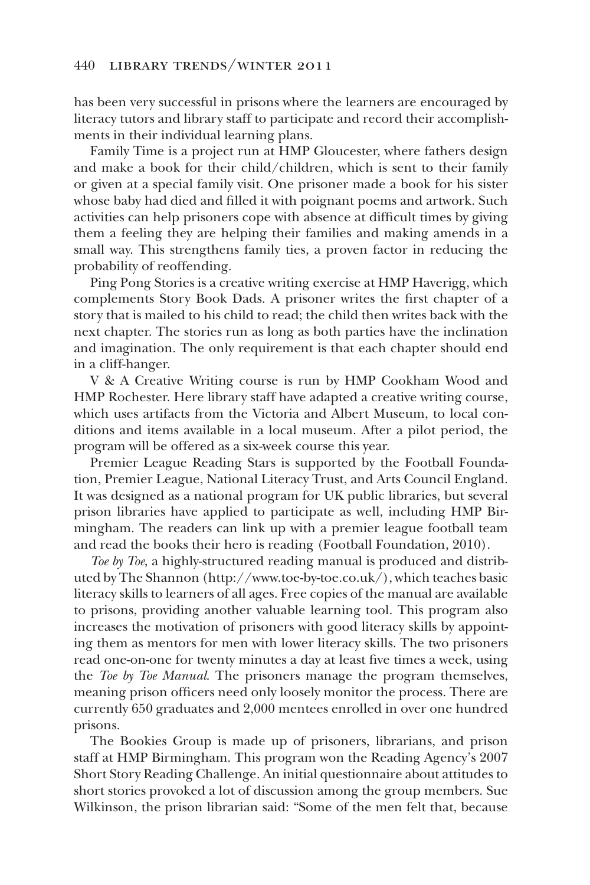has been very successful in prisons where the learners are encouraged by literacy tutors and library staff to participate and record their accomplishments in their individual learning plans.

Family Time is a project run at HMP Gloucester, where fathers design and make a book for their child/children, which is sent to their family or given at a special family visit. One prisoner made a book for his sister whose baby had died and filled it with poignant poems and artwork. Such activities can help prisoners cope with absence at difficult times by giving them a feeling they are helping their families and making amends in a small way. This strengthens family ties, a proven factor in reducing the probability of reoffending.

Ping Pong Stories is a creative writing exercise at HMP Haverigg, which complements Story Book Dads. A prisoner writes the first chapter of a story that is mailed to his child to read; the child then writes back with the next chapter. The stories run as long as both parties have the inclination and imagination. The only requirement is that each chapter should end in a cliff-hanger.

V & A Creative Writing course is run by HMP Cookham Wood and HMP Rochester. Here library staff have adapted a creative writing course, which uses artifacts from the Victoria and Albert Museum, to local conditions and items available in a local museum. After a pilot period, the program will be offered as a six-week course this year.

Premier League Reading Stars is supported by the Football Foundation, Premier League, National Literacy Trust, and Arts Council England. It was designed as a national program for UK public libraries, but several prison libraries have applied to participate as well, including HMP Birmingham. The readers can link up with a premier league football team and read the books their hero is reading (Football Foundation, 2010).

*Toe by Toe*, a highly-structured reading manual is produced and distributed by The Shannon (http://www.toe-by-toe.co.uk/), which teaches basic literacy skills to learners of all ages. Free copies of the manual are available to prisons, providing another valuable learning tool. This program also increases the motivation of prisoners with good literacy skills by appointing them as mentors for men with lower literacy skills. The two prisoners read one-on-one for twenty minutes a day at least five times a week, using the *Toe by Toe Manual*. The prisoners manage the program themselves, meaning prison officers need only loosely monitor the process. There are currently 650 graduates and 2,000 mentees enrolled in over one hundred prisons.

The Bookies Group is made up of prisoners, librarians, and prison staff at HMP Birmingham. This program won the Reading Agency's 2007 Short Story Reading Challenge. An initial questionnaire about attitudes to short stories provoked a lot of discussion among the group members. Sue Wilkinson, the prison librarian said: "Some of the men felt that, because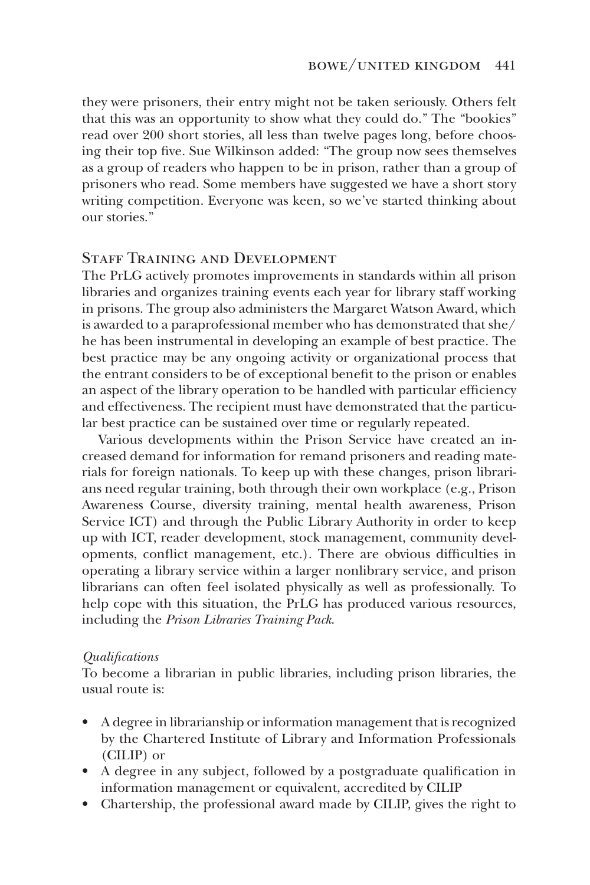they were prisoners, their entry might not be taken seriously. Others felt that this was an opportunity to show what they could do." The "bookies" read over 200 short stories, all less than twelve pages long, before choosing their top five. Sue Wilkinson added: "The group now sees themselves as a group of readers who happen to be in prison, rather than a group of prisoners who read. Some members have suggested we have a short story writing competition. Everyone was keen, so we've started thinking about our stories."

# STAFF TRAINING AND DEVELOPMENT

The PrLG actively promotes improvements in standards within all prison libraries and organizes training events each year for library staff working in prisons. The group also administers the Margaret Watson Award, which is awarded to a paraprofessional member who has demonstrated that she/ he has been instrumental in developing an example of best practice. The best practice may be any ongoing activity or organizational process that the entrant considers to be of exceptional benefit to the prison or enables an aspect of the library operation to be handled with particular efficiency and effectiveness. The recipient must have demonstrated that the particular best practice can be sustained over time or regularly repeated.

Various developments within the Prison Service have created an increased demand for information for remand prisoners and reading materials for foreign nationals. To keep up with these changes, prison librarians need regular training, both through their own workplace (e.g., Prison Awareness Course, diversity training, mental health awareness, Prison Service ICT) and through the Public Library Authority in order to keep up with ICT, reader development, stock management, community developments, conflict management, etc.). There are obvious difficulties in operating a library service within a larger nonlibrary service, and prison librarians can often feel isolated physically as well as professionally. To help cope with this situation, the PrLG has produced various resources, including the *Prison Libraries Training Pack*.

#### *Qualifications*

To become a librarian in public libraries, including prison libraries, the usual route is:

- • A degree in librarianship or information management that is recognized by the Chartered Institute of Library and Information Professionals (CILIP) or
- • A degree in any subject, followed by a postgraduate qualification in information management or equivalent, accredited by CILIP
- Chartership, the professional award made by CILIP, gives the right to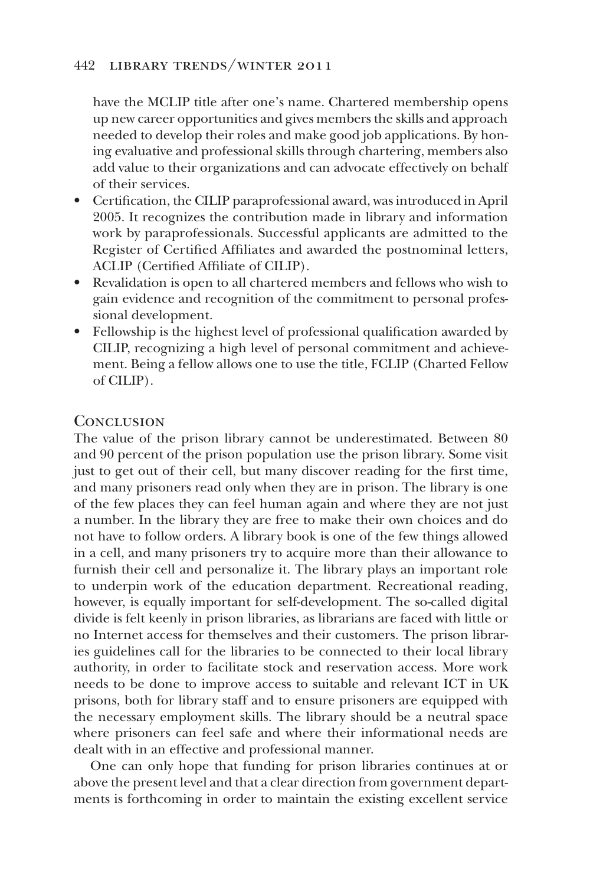have the MCLIP title after one's name. Chartered membership opens up new career opportunities and gives members the skills and approach needed to develop their roles and make good job applications. By honing evaluative and professional skills through chartering, members also add value to their organizations and can advocate effectively on behalf of their services.

- • Certification, the CILIP paraprofessional award, was introduced in April 2005. It recognizes the contribution made in library and information work by paraprofessionals. Successful applicants are admitted to the Register of Certified Affiliates and awarded the postnominal letters, ACLIP (Certified Affiliate of CILIP).
- Revalidation is open to all chartered members and fellows who wish to gain evidence and recognition of the commitment to personal professional development.
- Fellowship is the highest level of professional qualification awarded by CILIP, recognizing a high level of personal commitment and achievement. Being a fellow allows one to use the title, FCLIP (Charted Fellow of CILIP).

# **CONCLUSION**

The value of the prison library cannot be underestimated. Between 80 and 90 percent of the prison population use the prison library. Some visit just to get out of their cell, but many discover reading for the first time, and many prisoners read only when they are in prison. The library is one of the few places they can feel human again and where they are not just a number. In the library they are free to make their own choices and do not have to follow orders. A library book is one of the few things allowed in a cell, and many prisoners try to acquire more than their allowance to furnish their cell and personalize it. The library plays an important role to underpin work of the education department. Recreational reading, however, is equally important for self-development. The so-called digital divide is felt keenly in prison libraries, as librarians are faced with little or no Internet access for themselves and their customers. The prison libraries guidelines call for the libraries to be connected to their local library authority, in order to facilitate stock and reservation access. More work needs to be done to improve access to suitable and relevant ICT in UK prisons, both for library staff and to ensure prisoners are equipped with the necessary employment skills. The library should be a neutral space where prisoners can feel safe and where their informational needs are dealt with in an effective and professional manner.

One can only hope that funding for prison libraries continues at or above the present level and that a clear direction from government departments is forthcoming in order to maintain the existing excellent service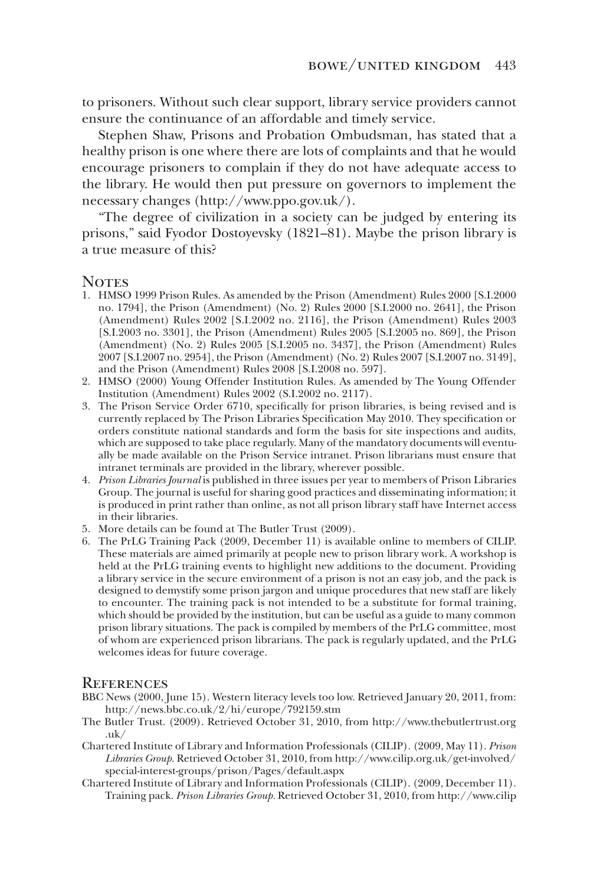to prisoners. Without such clear support, library service providers cannot ensure the continuance of an affordable and timely service.

Stephen Shaw, Prisons and Probation Ombudsman, has stated that a healthy prison is one where there are lots of complaints and that he would encourage prisoners to complain if they do not have adequate access to the library. He would then put pressure on governors to implement the necessary changes (http://www.ppo.gov.uk/).

"The degree of civilization in a society can be judged by entering its prisons," said Fyodor Dostoyevsky (1821–81). Maybe the prison library is a true measure of this?

**NOTES** 

- 1. HMSO 1999 Prison Rules. As amended by the Prison (Amendment) Rules 2000 [S.I.2000 no. 1794], the Prison (Amendment) (No. 2) Rules 2000 [S.I.2000 no. 2641], the Prison (Amendment) Rules 2002 [S.I.2002 no. 2116], the Prison (Amendment) Rules 2003 [S.I.2003 no. 3301], the Prison (Amendment) Rules 2005 [S.I.2005 no. 869], the Prison (Amendment) (No. 2) Rules 2005 [S.I.2005 no. 3437], the Prison (Amendment) Rules 2007 [S.I.2007 no. 2954], the Prison (Amendment) (No. 2) Rules 2007 [S.I.2007 no. 3149], and the Prison (Amendment) Rules 2008 [S.I.2008 no. 597].
- 2. HMSO (2000) Young Offender Institution Rules. As amended by The Young Offender Institution (Amendment) Rules 2002 (S.I.2002 no. 2117).
- 3. The Prison Service Order 6710, specifically for prison libraries, is being revised and is currently replaced by The Prison Libraries Specification May 2010. They specification or orders constitute national standards and form the basis for site inspections and audits, which are supposed to take place regularly. Many of the mandatory documents will eventually be made available on the Prison Service intranet. Prison librarians must ensure that intranet terminals are provided in the library, wherever possible.
- 4. *Prison Libraries Journal* is published in three issues per year to members of Prison Libraries Group. The journal is useful for sharing good practices and disseminating information; it is produced in print rather than online, as not all prison library staff have Internet access in their libraries.
- 5. More details can be found at The Butler Trust (2009).
- 6. The PrLG Training Pack (2009, December 11) is available online to members of CILIP. These materials are aimed primarily at people new to prison library work. A workshop is held at the PrLG training events to highlight new additions to the document. Providing a library service in the secure environment of a prison is not an easy job, and the pack is designed to demystify some prison jargon and unique procedures that new staff are likely to encounter. The training pack is not intended to be a substitute for formal training, which should be provided by the institution, but can be useful as a guide to many common prison library situations. The pack is compiled by members of the PrLG committee, most of whom are experienced prison librarians. The pack is regularly updated, and the PrLG welcomes ideas for future coverage.

#### **REFERENCES**

- BBC News (2000, June 15). Western literacy levels too low. Retrieved January 20, 2011, from: http://news.bbc.co.uk/2/hi/europe/792159.stm
- The Butler Trust. (2009). Retrieved October 31, 2010, from http://www.thebutlertrust.org .uk/
- Chartered Institute of Library and Information Professionals (CILIP). (2009, May 11). *Prison Libraries Group.* Retrieved October 31, 2010, from http://www.cilip.org.uk/get-involved/ special-interest-groups/prison/Pages/default.aspx
- Chartered Institute of Library and Information Professionals (CILIP). (2009, December 11). Training pack. *Prison Libraries Group.* Retrieved October 31, 2010, from http://www.cilip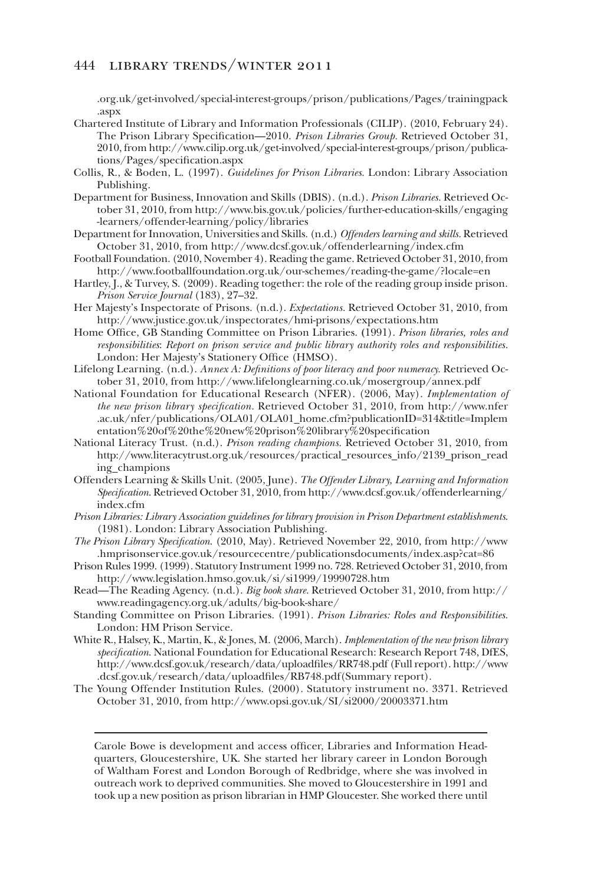.org.uk/get-involved/special-interest-groups/prison/publications/Pages/trainingpack .aspx

- Chartered Institute of Library and Information Professionals (CILIP). (2010, February 24). The Prison Library Specification—2010. *Prison Libraries Group.* Retrieved October 31, 2010, from http://www.cilip.org.uk/get-involved/special-interest-groups/prison/publications/Pages/specification.aspx
- Collis, R., & Boden, L. (1997). *Guidelines for Prison Libraries*. London: Library Association Publishing.
- Department for Business, Innovation and Skills (DBIS). (n.d.). *Prison Libraries.* Retrieved October 31, 2010, from http://www.bis.gov.uk/policies/further-education-skills/engaging -learners/offender-learning/policy/libraries
- Department for Innovation, Universities and Skills. (n.d.) *Offenders learning and skills.* Retrieved October 31, 2010, from http://www.dcsf.gov.uk/offenderlearning/index.cfm
- Football Foundation. (2010, November 4). Reading the game. Retrieved October 31, 2010, from http://www.footballfoundation.org.uk/our-schemes/reading-the-game/?locale=en
- Hartley, J., & Turvey, S. (2009). Reading together: the role of the reading group inside prison. *Prison Service Journal* (183), 27–32.
- Her Majesty's Inspectorate of Prisons. (n.d.). *Expectations.* Retrieved October 31, 2010, from http://www.justice.gov.uk/inspectorates/hmi-prisons/expectations.htm
- Home Office, GB Standing Committee on Prison Libraries. **(**1991). *Prison libraries, roles and responsibilities*: *Report on prison service and public library authority roles and responsibilities.*  London: Her Majesty's Stationery Office (HMSO).
- Lifelong Learning. (n.d.). *Annex A: Definitions of poor literacy and poor numeracy.* Retrieved October 31, 2010, from http://www.lifelonglearning.co.uk/mosergroup/annex.pdf
- National Foundation for Educational Research (NFER). (2006, May). *Implementation of the new prison library specification.* Retrieved October 31, 2010, from http://www.nfer .ac.uk/nfer/publications/OLA01/OLA01\_home.cfm?publicationID=314&title=Implem entation%20of%20the%20new%20prison%20library%20specification
- National Literacy Trust. (n.d.). *Prison reading champions.* Retrieved October 31, 2010, from http://www.literacytrust.org.uk/resources/practical\_resources\_info/2139\_prison\_read ing\_champions
- Offenders Learning & Skills Unit. (2005, June). *The Offender Library, Learning and Information Specification*. Retrieved October 31, 2010, from http://www.dcsf.gov.uk/offenderlearning/ index.cfm
- *Prison Libraries: Library Association guidelines for library provision in Prison Department establishments*. (1981). London: Library Association Publishing.
- *The Prison Library Specification*. (2010, May). Retrieved November 22, 2010, from http://www .hmprisonservice.gov.uk/resourcecentre/publicationsdocuments/index.asp?cat=86
- Prison Rules 1999. (1999). Statutory Instrument 1999 no. 728. Retrieved October 31, 2010, from http://www.legislation.hmso.gov.uk/si/si1999/19990728.htm
- Read—The Reading Agency. (n.d.). *Big book share.* Retrieved October 31, 2010, from http:// www.readingagency.org.uk/adults/big-book-share/
- Standing Committee on Prison Libraries. (1991). *Prison Libraries: Roles and Responsibilities*. London: HM Prison Service.
- White R., Halsey, K., Martin, K., & Jones, M. (2006, March). *Implementation of the new prison library specification*. National Foundation for Educational Research: Research Report 748, DfES, http://www.dcsf.gov.uk/research/data/uploadfiles/RR748.pdf (Full report). http://www .dcsf.gov.uk/research/data/uploadfiles/RB748.pdf(Summary report).
- The Young Offender Institution Rules. (2000). Statutory instrument no. 3371. Retrieved October 31, 2010, from http://www.opsi.gov.uk/SI/si2000/20003371.htm

Carole Bowe is development and access officer, Libraries and Information Headquarters, Gloucestershire, UK. She started her library career in London Borough of Waltham Forest and London Borough of Redbridge, where she was involved in outreach work to deprived communities. She moved to Gloucestershire in 1991 and took up a new position as prison librarian in HMP Gloucester. She worked there until